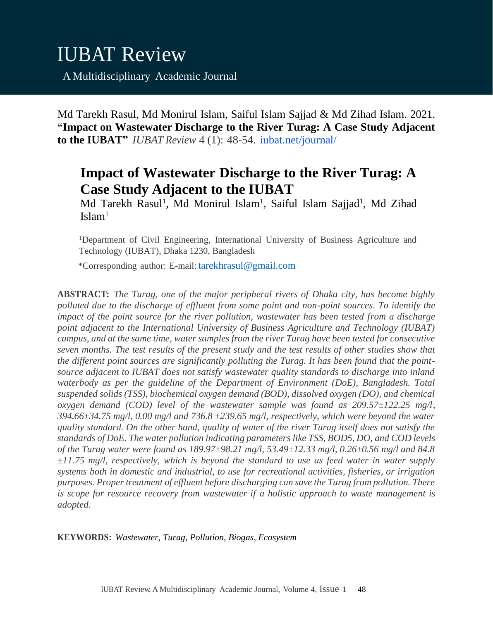Md Tarekh Rasul, Md Monirul Islam, Saiful Islam Sajjad & Md Zihad Islam. 2021. **"Impact on Wastewater Discharge to the River Turag: A Case Study Adjacent to the IUBAT"** *IUBAT Review* 4 (1): 48-54. iubat.net/journal/

# **Impact of Wastewater Discharge to the River Turag: A Case Study Adjacent to the IUBAT**

Md Tarekh Rasul<sup>1</sup>, Md Monirul Islam<sup>1</sup>, Saiful Islam Sajjad<sup>1</sup>, Md Zihad  $Islam<sup>1</sup>$ 

<sup>1</sup>Department of Civil Engineering, International University of Business Agriculture and Technology (IUBAT), Dhaka 1230, Bangladesh

\*Corresponding author: E-mail: [tarekhrasul@gmail.com](mailto:tarekhrasul@gmail.com)

**ABSTRACT:** *The Turag, one of the major peripheral rivers of Dhaka city, has become highly polluted due to the discharge of effluent from some point and non-point sources. To identify the impact of the point source for the river pollution, wastewater has been tested from a discharge point adjacent to the International University of Business Agriculture and Technology (IUBAT) campus, and at the same time, water samples from the river Turag have been tested for consecutive seven months. The test results of the present study and the test results of other studies show that the different point sources are significantly polluting the Turag. It has been found that the pointsource adjacent to IUBAT does not satisfy wastewater quality standards to discharge into inland waterbody as per the guideline of the Department of Environment (DoE), Bangladesh. Total suspended solids (TSS), biochemical oxygen demand (BOD), dissolved oxygen (DO), and chemical oxygen demand (COD) level of the wastewater sample was found as 209.57±122.25 mg/l, 394.66±34.75 mg/l, 0.00 mg/l and 736.8 ±239.65 mg/l, respectively, which were beyond the water quality standard. On the other hand, quality of water of the river Turag itself does not satisfy the standards of DoE. The water pollution indicating parameters like TSS, BOD5, DO, and COD levels of the Turag water were found as 189.97±98.21 mg/l, 53.49±12.33 mg/l, 0.26±0.56 mg/l and 84.8 ±11.75 mg/l, respectively, which is beyond the standard to use as feed water in water supply systems both in domestic and industrial, to use for recreational activities, fisheries, or irrigation purposes. Proper treatment of effluent before discharging can save the Turag from pollution. There is scope for resource recovery from wastewater if a holistic approach to waste management is adopted.*

**KEYWORDS:** *Wastewater, Turag, Pollution, Biogas, Ecosystem*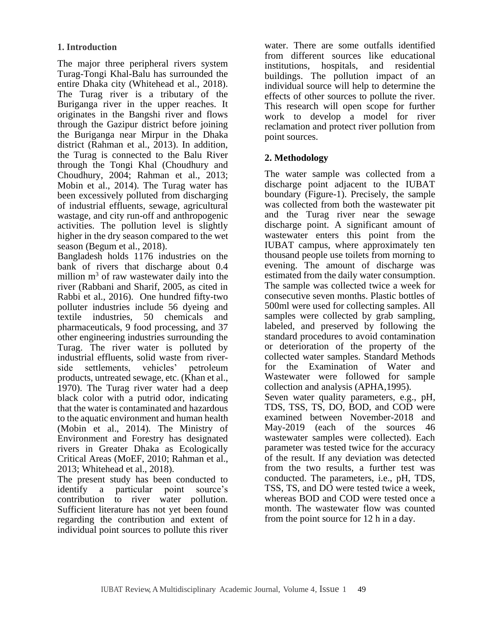The major three peripheral rivers system Turag-Tongi Khal-Balu has surrounded the entire Dhaka city (Whitehead et al., 2018). The Turag river is a tributary of the Buriganga river in the upper reaches. It originates in the Bangshi river and flows through the Gazipur district before joining the Buriganga near Mirpur in the Dhaka district (Rahman et al., 2013). In addition, the Turag is connected to the Balu River through the Tongi Khal (Choudhury and Choudhury, 2004; Rahman et al., 2013; Mobin et al., 2014). The Turag water has been excessively polluted from discharging of industrial effluents, sewage, agricultural wastage, and city run-off and anthropogenic activities. The pollution level is slightly higher in the dry season compared to the wet season (Begum et al., 2018).

Bangladesh holds 1176 industries on the bank of rivers that discharge about 0.4 million  $m<sup>3</sup>$  of raw wastewater daily into the river (Rabbani and Sharif, 2005, as cited in Rabbi et al., 2016). One hundred fifty-two polluter industries include 56 dyeing and textile industries, 50 chemicals and pharmaceuticals, 9 food processing, and 37 other engineering industries surrounding the Turag. The river water is polluted by industrial effluents, solid waste from riverside settlements, vehicles' petroleum products, untreated sewage, etc. (Khan et al., 1970). The Turag river water had a deep black color with a putrid odor, indicating that the water is contaminated and hazardous to the aquatic environment and human health (Mobin et al., 2014). The Ministry of Environment and Forestry has designated rivers in Greater Dhaka as Ecologically Critical Areas (MoEF, 2010; Rahman et al., 2013; Whitehead et al., 2018).

The present study has been conducted to identify a particular point source's contribution to river water pollution. Sufficient literature has not yet been found regarding the contribution and extent of individual point sources to pollute this river water. There are some outfalls identified from different sources like educational institutions, hospitals, and residential buildings. The pollution impact of an individual source will help to determine the effects of other sources to pollute the river. This research will open scope for further work to develop a model for river reclamation and protect river pollution from point sources.

## **2. Methodology**

The water sample was collected from a discharge point adjacent to the IUBAT boundary (Figure-1). Precisely, the sample was collected from both the wastewater pit and the Turag river near the sewage discharge point. A significant amount of wastewater enters this point from the IUBAT campus, where approximately ten thousand people use toilets from morning to evening. The amount of discharge was estimated from the daily water consumption. The sample was collected twice a week for consecutive seven months. Plastic bottles of 500ml were used for collecting samples. All samples were collected by grab sampling, labeled, and preserved by following the standard procedures to avoid contamination or deterioration of the property of the collected water samples. Standard Methods for the Examination of Water and Wastewater were followed for sample collection and analysis (APHA,1995). Seven water quality parameters, e.g., pH, TDS, TSS, TS, DO, BOD, and COD were examined between November-2018 and May-2019 (each of the sources 46 wastewater samples were collected). Each parameter was tested twice for the accuracy of the result. If any deviation was detected from the two results, a further test was conducted. The parameters, i.e., pH, TDS, TSS, TS, and DO were tested twice a week, whereas BOD and COD were tested once a month. The wastewater flow was counted from the point source for 12 h in a day.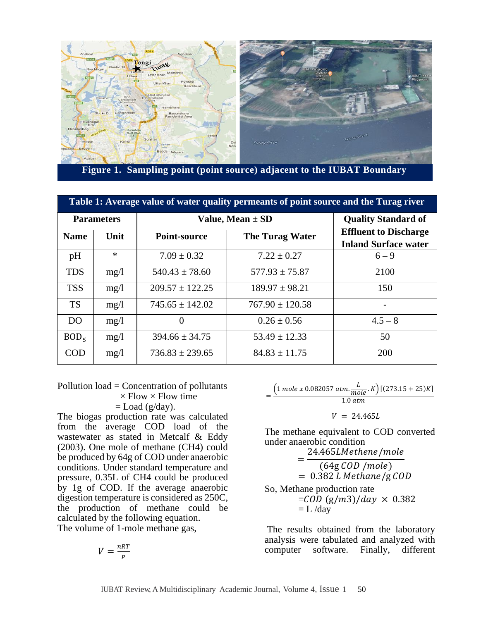

**Figure 1. Sampling point (point source) adjacent to the IUBAT Boundary**

| Table 1: Average value of water quality permeants of point source and the Turag river |         |                      |                            |                                                             |  |
|---------------------------------------------------------------------------------------|---------|----------------------|----------------------------|-------------------------------------------------------------|--|
| <b>Parameters</b>                                                                     |         | Value, Mean $\pm$ SD | <b>Quality Standard of</b> |                                                             |  |
| <b>Name</b>                                                                           | Unit    | Point-source         | <b>The Turag Water</b>     | <b>Effluent to Discharge</b><br><b>Inland Surface water</b> |  |
| pH                                                                                    | $\star$ | $7.09 \pm 0.32$      | $7.22 \pm 0.27$            | $6 - 9$                                                     |  |
| <b>TDS</b>                                                                            | mg/l    | $540.43 \pm 78.60$   | $577.93 + 75.87$           | 2100                                                        |  |
| <b>TSS</b>                                                                            | mg/l    | $209.57 + 122.25$    | $189.97 + 98.21$           | 150                                                         |  |
| <b>TS</b>                                                                             | mg/l    | $745.65 + 142.02$    | $767.90 \pm 120.58$        | ۰                                                           |  |
| DO.                                                                                   | mg/l    | $\Omega$             | $0.26 \pm 0.56$            | $4.5 - 8$                                                   |  |
| BOD <sub>5</sub>                                                                      | mg/l    | $394.66 + 34.75$     | $53.49 + 12.33$            | 50                                                          |  |
| COD                                                                                   | mg/l    | $736.83 + 239.65$    | $84.83 + 11.75$            | 200                                                         |  |

Pollution load = Concentration of pollutants  $\times$  Flow  $\times$  Flow time  $=$  Load (g/day).

The biogas production rate was calculated from the average COD load of the wastewater as stated in Metcalf & Eddy (2003). One mole of methane (CH4) could be produced by 64g of COD under anaerobic conditions. Under standard temperature and pressure, 0.35L of CH4 could be produced by 1g of COD. If the average anaerobic digestion temperature is considered as 250C, the production of methane could be calculated by the following equation. The volume of 1-mole methane gas,

$$
V = \frac{nRT}{P}
$$

$$
=\frac{\left(1 \text{ mole } x \text{ } 0.082057 \text{ atm.} \frac{L}{mole} \cdot K\right) \left[(273.15 + 25)K\right]}{1.0 \text{ atm}}
$$

 $V = 24.465L$ 

The methane equivalent to COD converted under anaerobic condition

= 24.465LMethene/mole  $(64g$  COD /mole)  $= 0.382 L$  Methane/g COD So, Methane production rate  $=$ COD (g/m3)/day  $\times$  0.382  $= L /day$ 

The results obtained from the laboratory analysis were tabulated and analyzed with computer software. Finally, different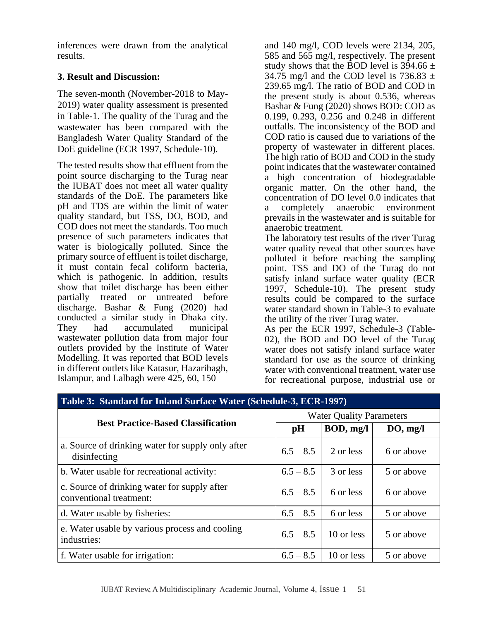inferences were drawn from the analytical results.

## **3. Result and Discussion:**

The seven-month (November-2018 to May-2019) water quality assessment is presented in Table-1. The quality of the Turag and the wastewater has been compared with the Bangladesh Water Quality Standard of the DoE guideline (ECR 1997, Schedule-10).

The tested results show that effluent from the point source discharging to the Turag near the IUBAT does not meet all water quality standards of the DoE. The parameters like pH and TDS are within the limit of water quality standard, but TSS, DO, BOD, and COD does not meet the standards. Too much presence of such parameters indicates that water is biologically polluted. Since the primary source of effluent is toilet discharge, it must contain fecal coliform bacteria, which is pathogenic. In addition, results show that toilet discharge has been either partially treated or untreated before discharge. Bashar & Fung (2020) had conducted a similar study in Dhaka city. They had accumulated municipal wastewater pollution data from major four outlets provided by the Institute of Water Modelling. It was reported that BOD levels in different outlets like Katasur, Hazaribagh, Islampur, and Lalbagh were 425, 60, 150

and 140 mg/l, COD levels were 2134, 205, 585 and 565 mg/l, respectively. The present study shows that the BOD level is  $394.66 \pm$ 34.75 mg/l and the COD level is 736.83  $\pm$ 239.65 mg/l. The ratio of BOD and COD in the present study is about 0.536, whereas Bashar & Fung (2020) shows BOD: COD as 0.199, 0.293, 0.256 and 0.248 in different outfalls. The inconsistency of the BOD and COD ratio is caused due to variations of the property of wastewater in different places. The high ratio of BOD and COD in the study point indicates that the wastewater contained a high concentration of biodegradable organic matter. On the other hand, the concentration of DO level 0.0 indicates that a completely anaerobic environment prevails in the wastewater and is suitable for anaerobic treatment. The laboratory test results of the river Turag

water quality reveal that other sources have polluted it before reaching the sampling point. TSS and DO of the Turag do not satisfy inland surface water quality (ECR 1997, Schedule-10). The present study results could be compared to the surface water standard shown in Table-3 to evaluate the utility of the river Turag water.

As per the ECR 1997, Schedule-3 (Table-02), the BOD and DO level of the Turag water does not satisfy inland surface water standard for use as the source of drinking water with conventional treatment, water use for recreational purpose, industrial use or

| Table 3: Standard for Inland Surface Water (Schedule-3, ECR-1997)       |                                 |            |            |  |  |
|-------------------------------------------------------------------------|---------------------------------|------------|------------|--|--|
| <b>Best Practice-Based Classification</b>                               | <b>Water Ouality Parameters</b> |            |            |  |  |
|                                                                         | pH                              | BOD, mg/l  | DO, mg/l   |  |  |
| a. Source of drinking water for supply only after<br>disinfecting       | $6.5 - 8.5$                     | 2 or less  | 6 or above |  |  |
| b. Water usable for recreational activity:                              | $6.5 - 8.5$                     | 3 or less  | 5 or above |  |  |
| c. Source of drinking water for supply after<br>conventional treatment: | $6.5 - 8.5$                     | 6 or less  | 6 or above |  |  |
| d. Water usable by fisheries:                                           | $6.5 - 8.5$                     | 6 or less  | 5 or above |  |  |
| e. Water usable by various process and cooling<br>industries:           | $6.5 - 8.5$                     | 10 or less | 5 or above |  |  |
| f. Water usable for irrigation:                                         | $6.5 - 8.5$                     | 10 or less | 5 or above |  |  |

# **Table 3: Standard for Inland Surface Water (Schedule-3, ECR-1997)**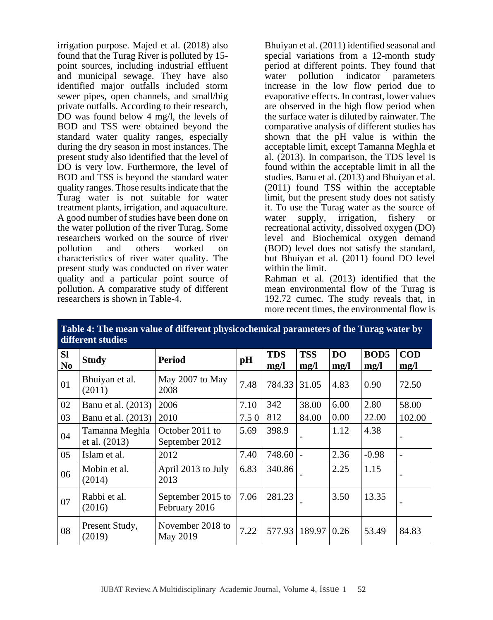irrigation purpose. Majed et al. (2018) also found that the Turag River is polluted by 15 point sources, including industrial effluent and municipal sewage. They have also identified major outfalls included storm sewer pipes, open channels, and small/big private outfalls. According to their research, DO was found below 4 mg/l, the levels of BOD and TSS were obtained beyond the standard water quality ranges, especially during the dry season in most instances. The present study also identified that the level of DO is very low. Furthermore, the level of BOD and TSS is beyond the standard water quality ranges. Those results indicate that the Turag water is not suitable for water treatment plants, irrigation, and aquaculture. A good number of studies have been done on the water pollution of the river Turag. Some researchers worked on the source of river pollution and others worked on characteristics of river water quality. The present study was conducted on river water quality and a particular point source of pollution. A comparative study of different researchers is shown in Table-4.

Bhuiyan et al. (2011) identified seasonal and special variations from a 12-month study period at different points. They found that water pollution indicator parameters increase in the low flow period due to evaporative effects. In contrast, lower values are observed in the high flow period when the surface water is diluted by rainwater. The comparative analysis of different studies has shown that the pH value is within the acceptable limit, except Tamanna Meghla et al. (2013). In comparison, the TDS level is found within the acceptable limit in all the studies. Banu et al.  $(2013)$  and Bhuiyan et al. (2011) found TSS within the acceptable limit, but the present study does not satisfy it. To use the Turag water as the source of water supply, irrigation, fishery or recreational activity, dissolved oxygen (DO) level and Biochemical oxygen demand (BOD) level does not satisfy the standard, but Bhuiyan et al. (2011) found DO level within the limit.

Rahman et al. (2013) identified that the mean environmental flow of the Turag is 192.72 cumec. The study reveals that, in more recent times, the environmental flow is

| different studies           |                                 |                                    |      |                    |                    |             |                          |                          |
|-----------------------------|---------------------------------|------------------------------------|------|--------------------|--------------------|-------------|--------------------------|--------------------------|
| <b>SI</b><br>N <sub>0</sub> | <b>Study</b>                    | Period                             | pH   | <b>TDS</b><br>mg/l | <b>TSS</b><br>mg/l | DO.<br>mg/l | BOD <sub>5</sub><br>mg/l | $\mathbf{COD}$<br>mg/l   |
| 01                          | Bhuiyan et al.<br>(2011)        | May 2007 to May<br>2008            | 7.48 | 784.33             | 31.05              | 4.83        | 0.90                     | 72.50                    |
| 02                          | Banu et al. (2013)              | 2006                               | 7.10 | 342                | 38.00              | 6.00        | 2.80                     | 58.00                    |
| 03                          | Banu et al. (2013)              | 2010                               | 7.50 | 812                | 84.00              | 0.00        | 22.00                    | 102.00                   |
| 04                          | Tamanna Meghla<br>et al. (2013) | October 2011 to<br>September 2012  | 5.69 | 398.9              |                    | 1.12        | 4.38                     |                          |
| 05                          | Islam et al.                    | 2012                               | 7.40 | 748.60             |                    | 2.36        | $-0.98$                  | $\overline{\phantom{a}}$ |
| 06                          | Mobin et al.<br>(2014)          | April 2013 to July<br>2013         | 6.83 | 340.86             |                    | 2.25        | 1.15                     |                          |
| 07                          | Rabbi et al.<br>(2016)          | September 2015 to<br>February 2016 | 7.06 | 281.23             |                    | 3.50        | 13.35                    |                          |
| 08                          | Present Study,<br>(2019)        | November 2018 to<br>May 2019       | 7.22 |                    | 577.93   189.97    | 0.26        | 53.49                    | 84.83                    |

**Table 4: The mean value of different physicochemical parameters of the Turag water by** 

IUBAT Review, A Multidisciplinary Academic Journal, Volume 4, Issue 1 52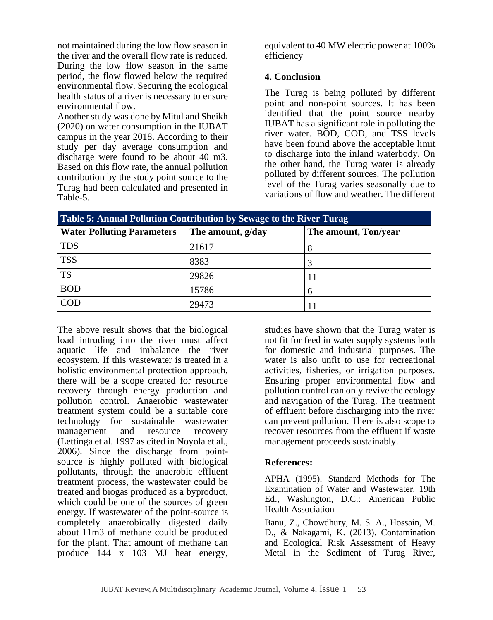not maintained during the low flow season in the river and the overall flow rate is reduced. During the low flow season in the same period, the flow flowed below the required environmental flow. Securing the ecological health status of a river is necessary to ensure environmental flow.

Another study was done by Mitul and Sheikh (2020) on water consumption in the IUBAT campus in the year 2018. According to their study per day average consumption and discharge were found to be about 40 m3. Based on this flow rate, the annual pollution contribution by the study point source to the Turag had been calculated and presented in Table-5.

equivalent to 40 MW electric power at 100% efficiency

#### **4. Conclusion**

The Turag is being polluted by different point and non-point sources. It has been identified that the point source nearby IUBAT has a significant role in polluting the river water. BOD, COD, and TSS levels have been found above the acceptable limit to discharge into the inland waterbody. On the other hand, the Turag water is already polluted by different sources. The pollution level of the Turag varies seasonally due to variations of flow and weather. The different

| Table 5: Annual Pollution Contribution by Sewage to the River Turag |                   |                      |  |
|---------------------------------------------------------------------|-------------------|----------------------|--|
| <b>Water Polluting Parameters</b>                                   | The amount, g/day | The amount, Ton/year |  |
| <b>TDS</b>                                                          | 21617             |                      |  |
| <b>TSS</b>                                                          | 8383              |                      |  |
| <b>TS</b>                                                           | 29826             |                      |  |
| <b>BOD</b>                                                          | 15786             |                      |  |
| <b>COD</b>                                                          | 29473             |                      |  |

The above result shows that the biological load intruding into the river must affect aquatic life and imbalance the river ecosystem. If this wastewater is treated in a holistic environmental protection approach, there will be a scope created for resource recovery through energy production and pollution control. Anaerobic wastewater treatment system could be a suitable core technology for sustainable wastewater management and resource recovery (Lettinga et al. 1997 as cited in Noyola et al., 2006). Since the discharge from pointsource is highly polluted with biological pollutants, through the anaerobic effluent treatment process, the wastewater could be treated and biogas produced as a byproduct, which could be one of the sources of green energy. If wastewater of the point-source is completely anaerobically digested daily about 11m3 of methane could be produced for the plant. That amount of methane can produce 144 x 103 MJ heat energy,

studies have shown that the Turag water is not fit for feed in water supply systems both for domestic and industrial purposes. The water is also unfit to use for recreational activities, fisheries, or irrigation purposes. Ensuring proper environmental flow and pollution control can only revive the ecology and navigation of the Turag. The treatment of effluent before discharging into the river can prevent pollution. There is also scope to recover resources from the effluent if waste management proceeds sustainably.

### **References:**

APHA (1995). Standard Methods for The Examination of Water and Wastewater. 19th Ed., Washington, D.C.: American Public Health Association

Banu, Z., Chowdhury, M. S. A., Hossain, M. D., & Nakagami, K. (2013). Contamination and Ecological Risk Assessment of Heavy Metal in the Sediment of Turag River,